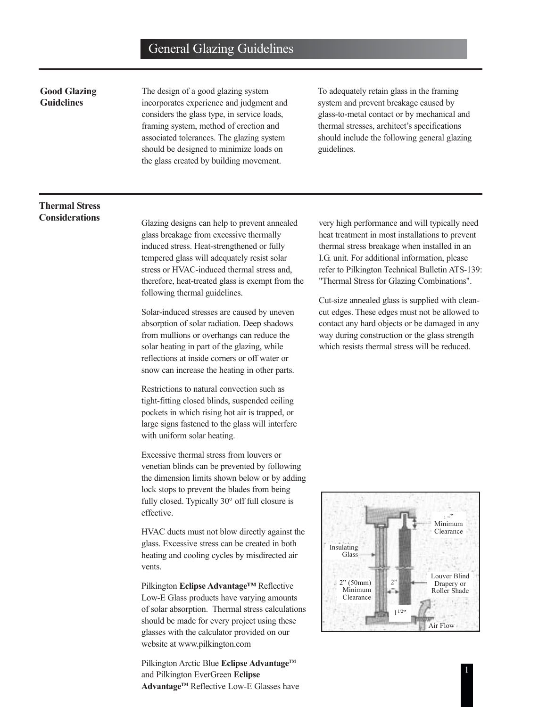#### **Good Glazing Guidelines**

The design of a good glazing system incorporates experience and judgment and considers the glass type, in service loads, framing system, method of erection and associated tolerances. The glazing system should be designed to minimize loads on the glass created by building movement.

To adequately retain glass in the framing system and prevent breakage caused by glass-to-metal contact or by mechanical and thermal stresses, architect's specifications should include the following general glazing guidelines.

# **Thermal Stress**

**Considerations** Glazing designs can help to prevent annealed glass breakage from excessive thermally induced stress. Heat-strengthened or fully tempered glass will adequately resist solar stress or HVAC-induced thermal stress and, therefore, heat-treated glass is exempt from the following thermal guidelines.

> Solar-induced stresses are caused by uneven absorption of solar radiation. Deep shadows from mullions or overhangs can reduce the solar heating in part of the glazing, while reflections at inside corners or off water or snow can increase the heating in other parts.

Restrictions to natural convection such as tight-fitting closed blinds, suspended ceiling pockets in which rising hot air is trapped, or large signs fastened to the glass will interfere with uniform solar heating.

Excessive thermal stress from louvers or venetian blinds can be prevented by following the dimension limits shown below or by adding lock stops to prevent the blades from being fully closed. Typically 30° off full closure is effective.

HVAC ducts must not blow directly against the glass. Excessive stress can be created in both heating and cooling cycles by misdirected air vents.

Pilkington **Eclipse Advantage™** Reflective Low-E Glass products have varying amounts of solar absorption. Thermal stress calculations should be made for every project using these glasses with the calculator provided on our website at www.pilkington.com

Pilkington Arctic Blue **Eclipse Advantage**™ and Pilkington EverGreen **Eclipse** Advantage<sup>™</sup> Reflective Low-E Glasses have very high performance and will typically need heat treatment in most installations to prevent thermal stress breakage when installed in an I.G. unit. For additional information, please refer to Pilkington Technical Bulletin ATS-139: "Thermal Stress for Glazing Combinations".

Cut-size annealed glass is supplied with cleancut edges. These edges must not be allowed to contact any hard objects or be damaged in any way during construction or the glass strength which resists thermal stress will be reduced.

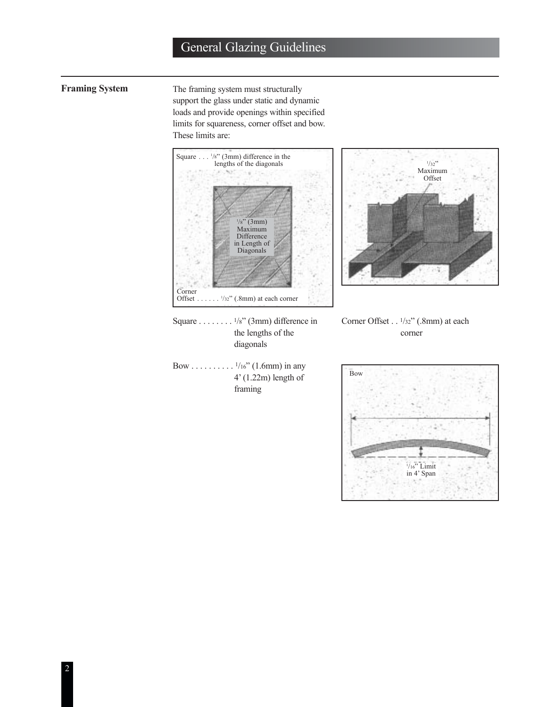**Framing System** The framing system must structurally support the glass under static and dynamic loads and provide openings within specified limits for squareness, corner offset and bow. These limits are:





Square . . . . . . . . 1/8" (3mm) difference in the lengths of the diagonals

Bow . . . . . . . . . .  $\frac{1}{16}$ " (1.6mm) in any 4' (1.22m) length of framing



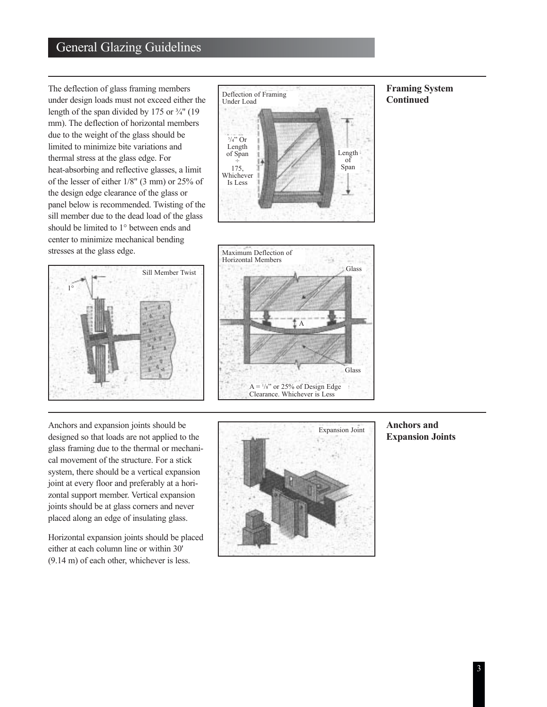The deflection of glass framing members under design loads must not exceed either the length of the span divided by 175 or ¾" (19 mm). The deflection of horizontal members due to the weight of the glass should be limited to minimize bite variations and thermal stress at the glass edge. For heat-absorbing and reflective glasses, a limit of the lesser of either 1/8" (3 mm) or 25% of the design edge clearance of the glass or panel below is recommended. Twisting of the sill member due to the dead load of the glass should be limited to 1° between ends and center to minimize mechanical bending stresses at the glass edge.





#### **Framing System Continued**



Anchors and expansion joints should be designed so that loads are not applied to the glass framing due to the thermal or mechanical movement of the structure. For a stick system, there should be a vertical expansion joint at every floor and preferably at a horizontal support member. Vertical expansion joints should be at glass corners and never placed along an edge of insulating glass.

Horizontal expansion joints should be placed either at each column line or within 30' (9.14 m) of each other, whichever is less.



#### **Anchors and Expansion Joints**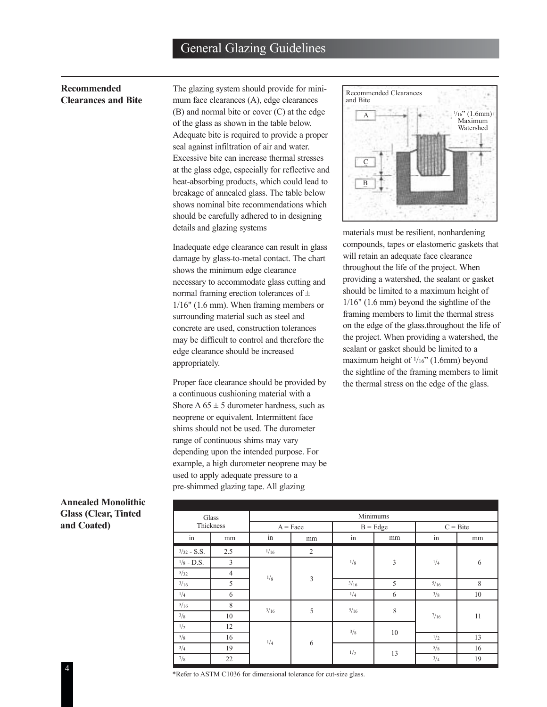#### **Recommended Clearances and Bite**

The glazing system should provide for minimum face clearances (A), edge clearances (B) and normal bite or cover (C) at the edge of the glass as shown in the table below. Adequate bite is required to provide a proper seal against infiltration of air and water. Excessive bite can increase thermal stresses at the glass edge, especially for reflective and heat-absorbing products, which could lead to breakage of annealed glass. The table below shows nominal bite recommendations which should be carefully adhered to in designing details and glazing systems

Inadequate edge clearance can result in glass damage by glass-to-metal contact. The chart shows the minimum edge clearance necessary to accommodate glass cutting and normal framing erection tolerances of  $\pm$ 1/16" (1.6 mm). When framing members or surrounding material such as steel and concrete are used, construction tolerances may be difficult to control and therefore the edge clearance should be increased appropriately.

Proper face clearance should be provided by a continuous cushioning material with a Shore A  $65 \pm 5$  durometer hardness, such as neoprene or equivalent. Intermittent face shims should not be used. The durometer range of continuous shims may vary depending upon the intended purpose. For example, a high durometer neoprene may be used to apply adequate pressure to a pre-shimmed glazing tape. All glazing



materials must be resilient, nonhardening compounds, tapes or elastomeric gaskets that will retain an adequate face clearance throughout the life of the project. When providing a watershed, the sealant or gasket should be limited to a maximum height of 1/16" (1.6 mm) beyond the sightline of the framing members to limit the thermal stress on the edge of the glass.throughout the life of the project. When providing a watershed, the sealant or gasket should be limited to a maximum height of 1/16" (1.6mm) beyond the sightline of the framing members to limit the thermal stress on the edge of the glass.

#### **Annealed Monolithic Glass (Clear, Tinted and Coated)**

| Glass         |                | Minimums   |                |            |    |            |    |  |
|---------------|----------------|------------|----------------|------------|----|------------|----|--|
| Thickness     |                | $A = Face$ |                | $B = Edge$ |    | $C = Bite$ |    |  |
| in            | mm             | in         | mm             | in         | mm | in         | mm |  |
| $3/32 - S.S.$ | 2.5            | 1/16       | 2              | 1/8        | 3  | 1/4        | 6  |  |
| $1/8$ - D.S.  | 3              |            | $\mathfrak{Z}$ |            |    |            |    |  |
| 5/32          | $\overline{4}$ |            |                |            |    |            |    |  |
| 3/16          | 5              | 1/8        |                | 3/16       | 5  | 5/16       | 8  |  |
| 1/4           | 6              |            |                | 1/4        | 6  | 3/8        | 10 |  |
| 5/16          | 8              | 3/16       | $\mathfrak s$  | 5/16       | 8  | $^{7/16}$  | 11 |  |
| 3/8           | 10             |            |                |            |    |            |    |  |
| 1/2           | 12             | 1/4        | 6              | 3/8        | 10 |            |    |  |
| 5/8           | 16             |            |                |            |    | 1/2        | 13 |  |
| 3/4           | 19             |            |                | 1/2        | 13 | 5/8        | 16 |  |
| $\frac{7}{8}$ | 22             |            |                |            |    | 3/4        | 19 |  |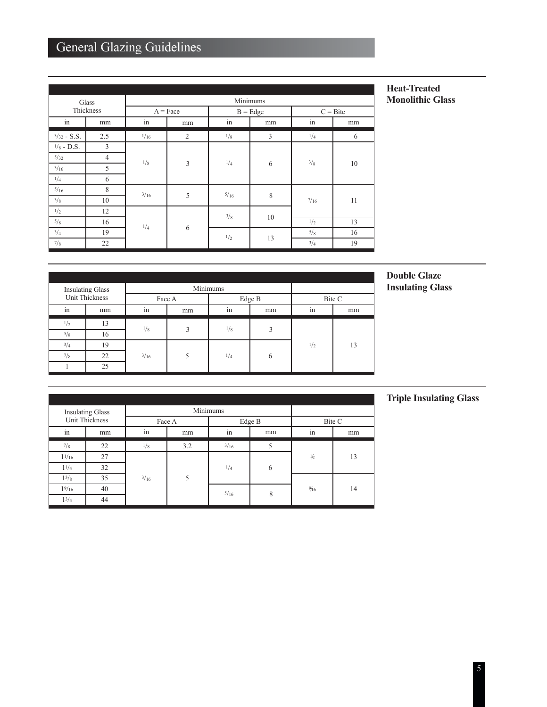| Glass         |                | Minimums   |                |            |    |            |    |  |
|---------------|----------------|------------|----------------|------------|----|------------|----|--|
| Thickness     |                | $A = Face$ |                | $B = Edge$ |    | $C = Bite$ |    |  |
| in            | mm             | in         | mm             | in         | mm | in         | mm |  |
| $3/32 - S.S.$ | 2.5            | 1/16       | $\overline{2}$ | 1/8        | 3  | 1/4        | 6  |  |
| $1/8$ - D.S.  | 3              | 1/8        | $\overline{3}$ | 1/4        | 6  | 3/8        | 10 |  |
| 5/32          | $\overline{4}$ |            |                |            |    |            |    |  |
| 3/16          | 5              |            |                |            |    |            |    |  |
| 1/4           | 6              |            |                |            |    |            |    |  |
| 5/16          | 8              | 3/16       | 5              | 5/16       | 8  | 7/16       | 11 |  |
| 3/8           | 10             |            |                |            |    |            |    |  |
| 1/2           | 12             | 1/4        | 6              | 3/8        | 10 |            |    |  |
| 5/8           | 16             |            |                |            |    | 1/2        | 13 |  |
| 3/4           | 19             |            |                | 1/2        | 13 | 5/8        | 16 |  |
| $\frac{7}{8}$ | 22             |            |                |            |    | 3/4        | 19 |  |

#### **Heat-Treated Monolithic Glass**

| <b>Insulating Glass</b><br>Unit Thickness |    |        | Minimums                 |        |    |        |    |
|-------------------------------------------|----|--------|--------------------------|--------|----|--------|----|
|                                           |    | Face A |                          | Edge B |    | Bite C |    |
| in                                        | mm | in     | mm                       | in     | mm | in     | mm |
| 1/2                                       | 13 | 1/8    | 3                        | 1/8    | 3  | 1/2    | 13 |
| 5/8                                       | 16 |        |                          |        |    |        |    |
| 3/4                                       | 19 | 3/16   | $\overline{\phantom{0}}$ | 1/4    | 6  |        |    |
| $\frac{7}{8}$                             | 22 |        |                          |        |    |        |    |
|                                           | 25 |        |                          |        |    |        |    |

#### **Double Glaze**  Insulating Glass **Insulating Glass**

| <b>Insulating Glass</b><br><b>Unit Thickness</b> |    |        | Minimums |        |    |        |    |
|--------------------------------------------------|----|--------|----------|--------|----|--------|----|
|                                                  |    | Face A |          | Edge B |    | Bite C |    |
| in                                               | mm | in     | mm       | in     | mm | in     | mm |
| 7/8                                              | 22 | 1/8    | 3.2      | 3/16   | 5  |        |    |
| $1^{1/16}$                                       | 27 |        |          |        |    | 1/2    | 13 |
| 11/4                                             | 32 |        |          | 1/4    | 6  |        |    |
| 13/8                                             | 35 | 3/16   | 5        |        |    |        |    |
| 19/16                                            | 40 |        |          | 5/16   | 8  | %      | 14 |
| 13/4                                             | 44 |        |          |        |    |        |    |

#### **Triple Insulating Glass**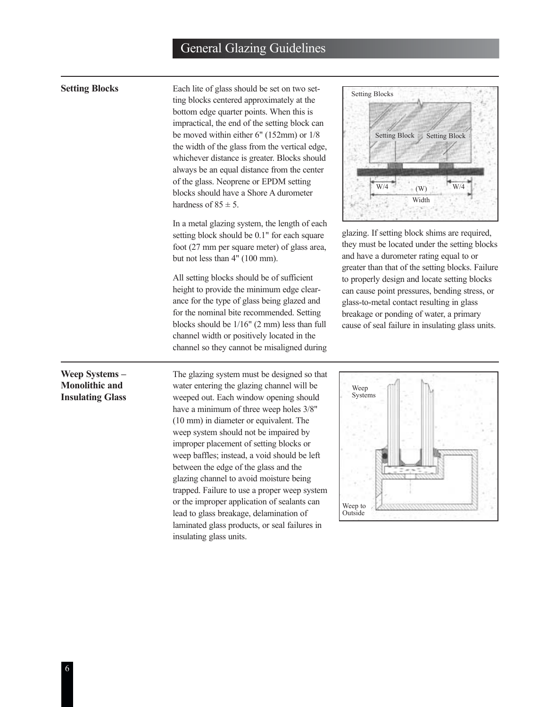#### **Setting Blocks**

Each lite of glass should be set on two setting blocks centered approximately at the bottom edge quarter points. When this is impractical, the end of the setting block can be moved within either 6" (152mm) or 1/8 the width of the glass from the vertical edge, whichever distance is greater. Blocks should always be an equal distance from the center of the glass. Neoprene or EPDM setting blocks should have a Shore A durometer hardness of  $85 \pm 5$ .

In a metal glazing system, the length of each setting block should be 0.1" for each square foot (27 mm per square meter) of glass area, but not less than 4" (100 mm).

All setting blocks should be of sufficient height to provide the minimum edge clearance for the type of glass being glazed and for the nominal bite recommended. Setting blocks should be 1/16" (2 mm) less than full channel width or positively located in the channel so they cannot be misaligned during



glazing. If setting block shims are required, they must be located under the setting blocks and have a durometer rating equal to or greater than that of the setting blocks. Failure to properly design and locate setting blocks can cause point pressures, bending stress, or glass-to-metal contact resulting in glass breakage or ponding of water, a primary cause of seal failure in insulating glass units.

#### **Weep Systems – Monolithic and Insulating Glass**

The glazing system must be designed so that water entering the glazing channel will be weeped out. Each window opening should have a minimum of three weep holes 3/8" (10 mm) in diameter or equivalent. The weep system should not be impaired by improper placement of setting blocks or weep baffles; instead, a void should be left between the edge of the glass and the glazing channel to avoid moisture being trapped. Failure to use a proper weep system or the improper application of sealants can lead to glass breakage, delamination of laminated glass products, or seal failures in insulating glass units.

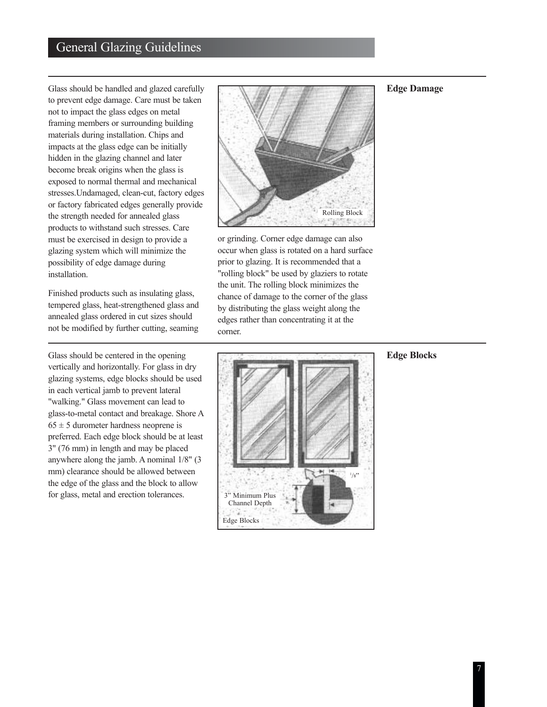Glass should be handled and glazed carefully to prevent edge damage. Care must be taken not to impact the glass edges on metal framing members or surrounding building materials during installation. Chips and impacts at the glass edge can be initially hidden in the glazing channel and later become break origins when the glass is exposed to normal thermal and mechanical stresses.Undamaged, clean-cut, factory edges or factory fabricated edges generally provide the strength needed for annealed glass products to withstand such stresses. Care must be exercised in design to provide a glazing system which will minimize the possibility of edge damage during installation.

Finished products such as insulating glass, tempered glass, heat-strengthened glass and annealed glass ordered in cut sizes should not be modified by further cutting, seaming

Glass should be centered in the opening vertically and horizontally. For glass in dry glazing systems, edge blocks should be used in each vertical jamb to prevent lateral "walking." Glass movement can lead to glass-to-metal contact and breakage. Shore A  $65 \pm 5$  durometer hardness neoprene is preferred. Each edge block should be at least 3" (76 mm) in length and may be placed anywhere along the jamb. A nominal 1/8" (3 mm) clearance should be allowed between the edge of the glass and the block to allow for glass, metal and erection tolerances.



or grinding. Corner edge damage can also occur when glass is rotated on a hard surface prior to glazing. It is recommended that a "rolling block" be used by glaziers to rotate the unit. The rolling block minimizes the chance of damage to the corner of the glass by distributing the glass weight along the edges rather than concentrating it at the corner.

# 1  $/_{8}$ " 3" Minimum Plus Channel Depth Edge Blocks

#### **Edge Blocks**

#### **Edge Damage**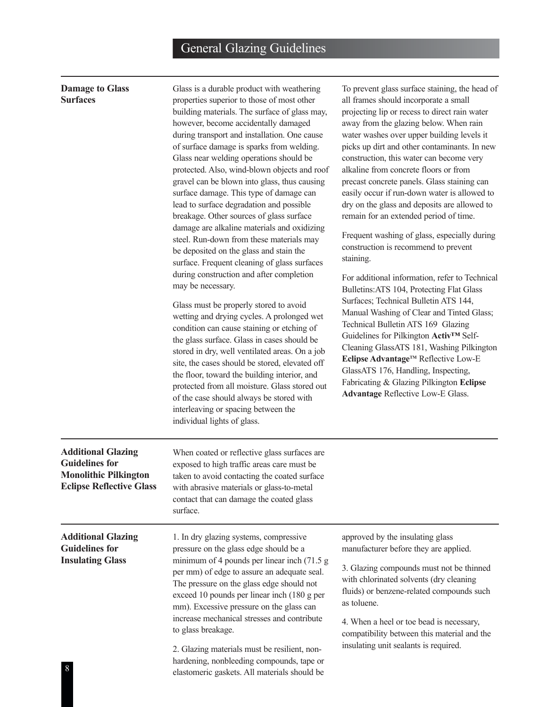#### **Damage to Glass Surfaces**

Glass is a durable product with weathering properties superior to those of most other building materials. The surface of glass may, however, become accidentally damaged during transport and installation. One cause of surface damage is sparks from welding. Glass near welding operations should be protected. Also, wind-blown objects and roof gravel can be blown into glass, thus causing surface damage. This type of damage can lead to surface degradation and possible breakage. Other sources of glass surface damage are alkaline materials and oxidizing steel. Run-down from these materials may be deposited on the glass and stain the surface. Frequent cleaning of glass surfaces during construction and after completion may be necessary.

Glass must be properly stored to avoid wetting and drying cycles. A prolonged wet condition can cause staining or etching of the glass surface. Glass in cases should be stored in dry, well ventilated areas. On a job site, the cases should be stored, elevated off the floor, toward the building interior, and protected from all moisture. Glass stored out of the case should always be stored with interleaving or spacing between the individual lights of glass.

To prevent glass surface staining, the head of all frames should incorporate a small projecting lip or recess to direct rain water away from the glazing below. When rain water washes over upper building levels it picks up dirt and other contaminants. In new construction, this water can become very alkaline from concrete floors or from precast concrete panels. Glass staining can easily occur if run-down water is allowed to dry on the glass and deposits are allowed to remain for an extended period of time.

Frequent washing of glass, especially during construction is recommend to prevent staining.

For additional information, refer to Technical Bulletins:ATS 104, Protecting Flat Glass Surfaces; Technical Bulletin ATS 144, Manual Washing of Clear and Tinted Glass; Technical Bulletin ATS 169 Glazing Guidelines for Pilkington **Activ™** Self-Cleaning GlassATS 181, Washing Pilkington **Eclipse Advantage™** Reflective Low-E GlassATS 176, Handling, Inspecting, Fabricating & Glazing Pilkington **Eclipse Advantage** Reflective Low-E Glass.

| <b>Additional Glazing</b><br><b>Guidelines for</b><br><b>Monolithic Pilkington</b><br><b>Eclipse Reflective Glass</b> | When coated or reflective glass surfaces are<br>exposed to high traffic areas care must be<br>taken to avoid contacting the coated surface<br>with abrasive materials or glass-to-metal<br>contact that can damage the coated glass<br>surface.                                                                                                                                                                                                                                             |                                                                                                                                                                                                                                                                                                                                                                  |  |  |
|-----------------------------------------------------------------------------------------------------------------------|---------------------------------------------------------------------------------------------------------------------------------------------------------------------------------------------------------------------------------------------------------------------------------------------------------------------------------------------------------------------------------------------------------------------------------------------------------------------------------------------|------------------------------------------------------------------------------------------------------------------------------------------------------------------------------------------------------------------------------------------------------------------------------------------------------------------------------------------------------------------|--|--|
| <b>Additional Glazing</b><br><b>Guidelines for</b><br><b>Insulating Glass</b>                                         | 1. In dry glazing systems, compressive<br>pressure on the glass edge should be a<br>minimum of 4 pounds per linear inch $(71.5 g)$<br>per mm) of edge to assure an adequate seal.<br>The pressure on the glass edge should not<br>exceed 10 pounds per linear inch (180 g per<br>mm). Excessive pressure on the glass can<br>increase mechanical stresses and contribute<br>to glass breakage.<br>2. Glazing materials must be resilient, non-<br>hardening, nonbleeding compounds, tape or | approved by the insulating glass<br>manufacturer before they are applied.<br>3. Glazing compounds must not be thinned<br>with chlorinated solvents (dry cleaning<br>fluids) or benzene-related compounds such<br>as toluene.<br>4. When a heel or toe bead is necessary,<br>compatibility between this material and the<br>insulating unit sealants is required. |  |  |
| 8                                                                                                                     | elastomeric gaskets. All materials should be                                                                                                                                                                                                                                                                                                                                                                                                                                                |                                                                                                                                                                                                                                                                                                                                                                  |  |  |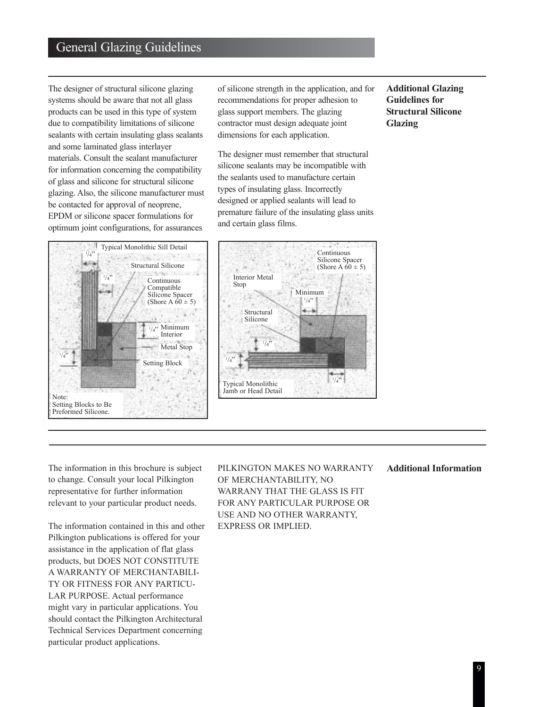The designer of structural silicone glazing systems should be aware that not all glass products can be used in this type of system due to compatibility limitations of silicone sealants with certain insulating glass sealants and some laminated glass interlayer materials. Consult the sealant manufacturer for information concerning the compatibility of glass and silicone for structural silicone glazing. Also, the silicone manufacturer must be contacted for approval of neoprene, EPDM or silicone spacer formulations for optimum joint configurations, for assurances

Typical Monolithic Sill Detail 1 /4" P.C. Structural Silicone 1  $\sqrt{4}$ " Continuous Compatible Silicone Spacer (Shore A  $60 \pm 5$ ) 20 Minimum  $\frac{1}{4}$ " Interior Metal Stop  $\frac{1}{4}$ Setting Block Note: Setting Blocks to Be Preformed Silicone.

of silicone strength in the application, and for recommendations for proper adhesion to glass support members. The glazing contractor must design adequate joint dimensions for each application.

The designer must remember that structural silicone sealants may be incompatible with the sealants used to manufacture certain types of insulating glass. Incorrectly designed or applied sealants will lead to premature failure of the insulating glass units and certain glass films.

Continuous Silicone Spacer (Shore A  $\bar{60} \pm 5$ ) Minimum  $\frac{1}{4}$  $\frac{1}{4}$ 1  $/4"$ 1 /4" Structural Silicone Interior Metal Stop Typical Monolithic Jamb or Head Detail

**Additional Glazing Guidelines for Structural Silicone Glazing**

The information in this brochure is subject to change. Consult your local Pilkington representative for further information relevant to your particular product needs.

The information contained in this and other Pilkington publications is offered for your assistance in the application of flat glass products, but DOES NOT CONSTITUTE A WARRANTY OF MERCHANTABILI-TY OR FITNESS FOR ANY PARTICU-LAR PURPOSE. Actual performance might vary in particular applications. You should contact the Pilkington Architectural Technical Services Department concerning particular product applications.

PILKINGTON MAKES NO WARRANTY OF MERCHANTABILITY, NO WARRANY THAT THE GLASS IS FIT FOR ANY PARTICULAR PURPOSE OR USE AND NO OTHER WARRANTY, EXPRESS OR IMPLIED.

**Additional Information**